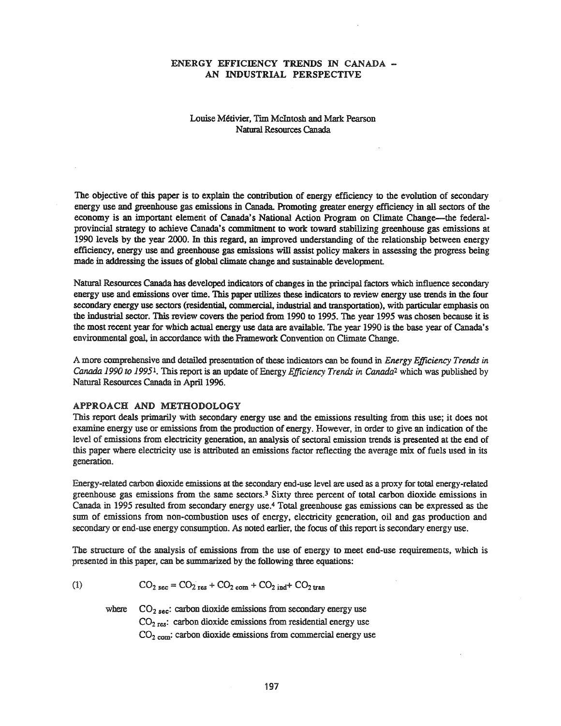#### ENERGY EFFICIENCY TRENDS IN CANADA - AN INDUSTRIAL PERSPECTIVE

#### Louise Metivier, Tun Mcintosh and Mark Pearson Natural Resources Canada

The objective of this paper is to explain the contribution of energy efficiency to the evolution of secondary energy use and greenhouse gas emissions in Canada. Promoting greater energy efficiency in all sectors of the economy is an important element of Canada's National Action Program on Climate Change—the federalprovincial strategy to achieve Canada's commitment to work toward stabilizing greenhouse gas emissions at 1990 levels by the year 2000. In this regard, an improved understanding of the relationship between energy efficiency, energy use and greenhouse gas emissions will assist policy makers in assessing the progress being made in addressing the issues of global climate change and sustainable development

Natural Resources Canada has developed indicators of changes in the principal factors which influence secondary energy use and emissions over time. This paper utilizes these indicators to review energy use trends in the four secondary energy use sectors (residential, commercial, industrial and transportation), with particular emphasis on the industrial sector. This review covers the period from 1990 to 1995. The year 1995 was chosen because it is the most recent year for which actual energy use data are available. The year 1990 is the base year of Canada's environmental goal, in accordance with the Framework Convention on Climate Change.

A more comprehensive and detailed presentation of these indicators can be found in *Energy Efficiency Trends in Canada* 1990 *to* 1995<sup>1</sup>. This report is an update of Energy *Efficiency Trends* in *Canada*<sup>2</sup> which was published by Natural Resources Canada in April 1996.

#### APPROACH AND METHODOLOGY

This report deals primarily with secondary energy use and the emissions resulting from this use; it does not examine energy use or emissions from the production of energy. However, in order to give an indication of the level of emissions from electricity generation, an analysis of sectoral emission trends is presented at the end of this paper where electricity use is attributed an emissions factor reflecting the average mix of fuels used in its generation.

Energy-related carbon dioxide emissions at the secondary end-use level are used as a proxy for total energy-related greenhouse gas emissions from the same sectors.3 Sixty three percent of total carbon dioxide emissions in Canada in 1995 resulted from secondary energy use.4 Total greenhouse gas emissions can be expressed as the sum of emissions from non-combustion uses of energy, electricity generation, oil and gas production and secondary or end-use energy consumption. As noted earlier, the focus of this report is secondary energy use.

The structure of the analysis of emissions from the use of energy to meet end-use requirements, which is presented in this paper, can be summarized by the following three equations:

$$
(1) \qquad \qquad CO_{2 \text{ sec}} = CO_{2 \text{ res}} + CO_{2 \text{ com}} + CO_{2 \text{ ind}} + CO_{2 \text{ tran}}
$$

where  $CO<sub>2 sec</sub>$ : carbon dioxide emissions from secondary energy use  $CO<sub>2</sub>$  res: carbon dioxide emissions from residential energy use  $CO<sub>2</sub>$  com: carbon dioxide emissions from commercial energy use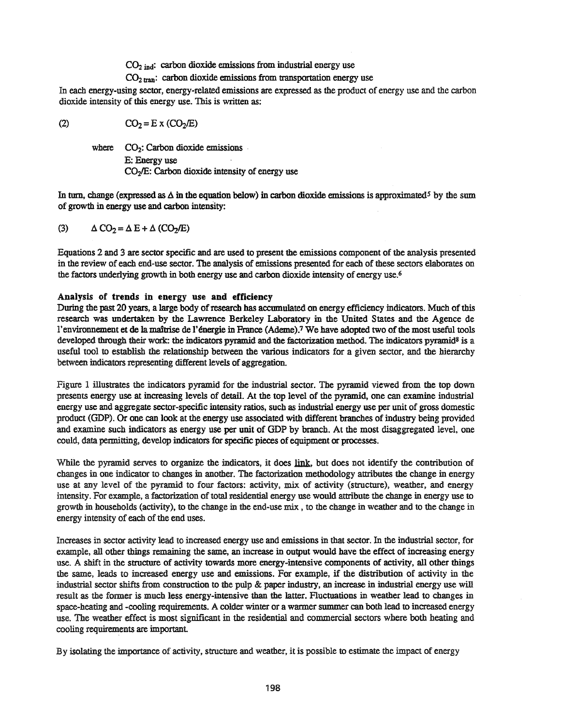$CO<sub>2</sub>$  ind: carbon dioxide emissions from industrial energy use

 $CO<sub>2</sub>$ <sub>tran</sub>: carbon dioxide emissions from transportation energy use

In each energy-using sector, energy-related emissions are expressed as the product of energy use and the carbon dioxide intensity of this energy use. This is written as:

(2)  $CO_2 = E \times (CO_2/E)$ 

where  $CO_2$ : Carbon dioxide emissions E: Energy use  $CO<sub>2</sub>/E$ : Carbon dioxide intensity of energy use

In turn, change (expressed as  $\Delta$  in the equation below) in carbon dioxide emissions is approximated<sup>5</sup> by the sum of growth in energy use and carbon intensity:

(3) 
$$
\Delta CO_2 = \Delta E + \Delta (CO_2/E)
$$

Equations 2 and 3 are sector specific and are used to present the emissions component of the analysis presented in the review of each end-use sector. The analysis of emissions presented for each of these sectors elaborates on the factors underlying growth in both energy use and carbon dioxide intensity of energy use.<sup>6</sup>

## Analysis or trends in energy use and efficiency

During the past 20 years, a large body of research has accumulated on energy efficiency indicators. Much of this research was undertaken by the Lawrence Berkeley Laboratory in the United States and the Agence de l'environnement et de la maîtrise de l'énergie in France (Ademe).<sup>7</sup> We have adopted two of the most useful tools developed through their work: the indicators pyramid and the factorization method. The indicators pyramid<sup>8</sup> is a useful tool to establish the relationship between the various indicators for a given sector, and the hierarchy between indicators representing different levels of aggregation.

Figure 1 illustrates the indicators pyramid for the industrial sector. The pyramid viewed from the top down presents energy use at increasing levels of detail. At the top level of the pyramid, one can examine industrial energy use and aggregate sector-specific intensity ratios, such as industrial energy use per unit of gross domestic product (GDP). Or one can look at the energy use associated with different branches ofindustry being provided and examine such indicators as energy use per unit of GDP by branch. At the most disaggregated level, one could, data permitting, develop indicators for specific pieces of equipment or processes.

While the pyramid serves to organize the indicators, it does link, but does not identify the contribution of changes in one indicator to changes in another. The factorization methodology attributes the change in energy use at any level of the pyramid to four factors: activity, mix of activity (stmcture), weather, and energy intensity. For example, a factorization of total residential energy use would attribute the change in energy use to growth in households (activity), to the change in the end-use mix , to the change in weather and to the change in energy intensity of each of the end uses.

Increases in sector activity lead to increased energy use and emissions in that sector. In the industrial sector, for example, all other things remaining the same, an increase in output would have the effect of increasing energy use. A shift in the structure of activity towards more energy-intensive components of activity, all other things the same, leads to increased energy use and emissions. For example, if the distribution of activity in the industrial sector shifts from construction to the pulp & paper industry, an increase in industrial energy use will result as the former is much less energy-intensive than the latter. Fluctuations in weather lead to changes in space-heating and -cooling requirements. A colder winter or a warmer summer can both lead to increased energy use. The weather effect is most significant in the residential and commercial sectors where both heating and cooling requirements are important

By isolating the importance of activity, stmcture and weather, it is possible to estimate the impact of energy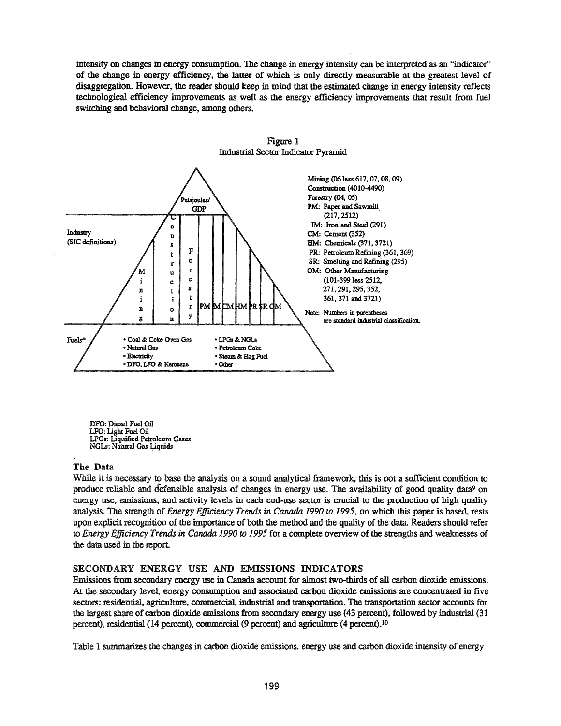intensity on changes in energy consumption. The change in energy intensity can be interpreted as an "indicator" of the change in energy efficiency, the latter of which is only directly measmable at the greatest level of disaggregation. However, the reader should keep in mind that the estimated change in energy intensity reflects technological efficiency improvements as well as the energy efficiency improvements that result from fuel switching and behavioral change, among others.





DFO: Diesel Fuel Oil LFO: Light Fuel Oil LPGs: Liquified Petroleum Gases NGLs: Natural Gas Liquids

## The Data

While it is necessary to base the analysis on a sound analytical framework, this is not a sufficient condition to produce reliable and defensible analysis of changes in energy use. The availability of good quality data<sup>9</sup> on energy use, emissions, and activity levels in each end-use sector is crucial to the production of high quality analysis. The strength of *Energy Efficiency Trends in Canada 1990 to* 1995, on which this paper is based, rests upon explicit recognition of the importance of both the method and the quality of the data. Readers should refer to *Energy Efficiency Trends in Canada 1990 to* 1995 for a complete overview of the strengths and weaknesses of the data used in the report

## SECONDARY ENERGY USE AND EMISSIONS INDICATORS

Emissions from secondary energy use in Canada account for almost two-thirds of all carbon dioxide emissions. At the secondary level, energy consumption and associated carbon dioxide emissions are concentrated in five sectors: residential, agriculture, commercial, industrial and transportation. The transportation sector accounts for the largest share of carbon dioxide emissions from secondary energy use (43 percent), followed by industrial (31 percent), residential (14 percent), commercial (9 percent) and agriculture (4 percent).<sup>10</sup>

Table 1 summarizes the changes in carbon dioxide emissions, energy use and carbon dioxide intensity of energy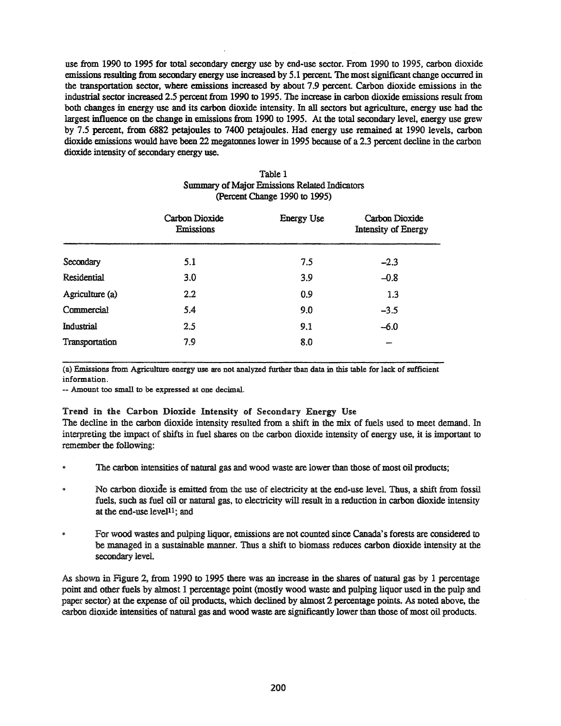use from 1990 to 1995 for total secondary energy use by end-use sector. From 1990 to 1995, carbon dioxide emissions resulting from secondary energy use increased by 5.1 percent. The most significant change occurred in the transportation sector, where emissions increased by about 7.9 percent Carbon dioxide emissions in the industrial sector increased 2.5 percent from 1990 to 1995. The increase in carbon dioxide emissions result from both changes in energy use and its carbon dioxide intensity. In all sectors but agriculture, energy use had the largest influence on the change in emissions from 1990 to 1995. At the total secondary level, energy use grew by 7.5 percent, from 6882 petajoules to 7400 petajoules. Had energy use remained at 1990 levels, carbon dioxide emissions would have been 22 megatonnes lower in 1995 because of a 2.3 percent decline in the carbon dioxide intensity of secondary energy use.

|                 | Summary of Major Emissions Related Indicators<br>(Percent Change 1990 to 1995) |                   |                                       |  |  |
|-----------------|--------------------------------------------------------------------------------|-------------------|---------------------------------------|--|--|
|                 | Carbon Dioxide<br><b>Emissions</b>                                             | <b>Energy Use</b> | Carbon Dioxide<br>Intensity of Energy |  |  |
| Secondary       | 5.1                                                                            | 7.5               | $-2.3$                                |  |  |
| Residential     | 3.0                                                                            | 3.9               | $-0.8$                                |  |  |
| Agriculture (a) | 2.2                                                                            | 0.9               | 1.3                                   |  |  |
| Commercial      | 5.4                                                                            | 9.0               | $-3.5$                                |  |  |
| Industrial      | 2.5                                                                            | 9.1               | $-6.0$                                |  |  |
| Transportation  | 7.9                                                                            | 8.0               | ognes.                                |  |  |

## Table 1 Summary of Major Emissions Related Indicators

(a) Emissions from Agriculture energy use are not analyzed further than data in this table for lack of sufficient information.

-- Amount too small to be expressed at one decimal.

## Trend in the Carbon Dioxide Intensity of Secondary Energy Use

The decline in the carbon dioxide intensity resulted from a shift in the mix of fuels used to meet demand. In interpreting the impact of shifts in fuel shares on the carbon dioxide intensity of energy use, it is important to remember the following:

- The carbon intensities of natural gas and wood waste are lower than those of most oil products;
- .. No carbon dioxide is emitted from the use of electricity at the end-use level. Thus, a shift from fossil fuels, such as fuel oil or natural gas, to electricity will result in a reduction in carbon dioxide intensity at the end-use level<sup>11</sup>; and
- For wood wastes and pulping liquor, emissions are not counted since Canada's forests are considered to be managed in a sustainable manner. Thus a shift to biomass reduces carbon dioxide intensity at the secondary level.

As shown in Figure 2, from 1990 to 1995 there was an increase in the shares of natural gas by 1 percentage point and other fuels by almost 1 percentage point (mostly wood waste and pulping liquor used in the pulp and paper sector) at the expense of oil products, which declined by almost 2 percentage points. As noted above, the carbon dioxide intensities of natural gas and wood waste are significantly lower than those of most oil products.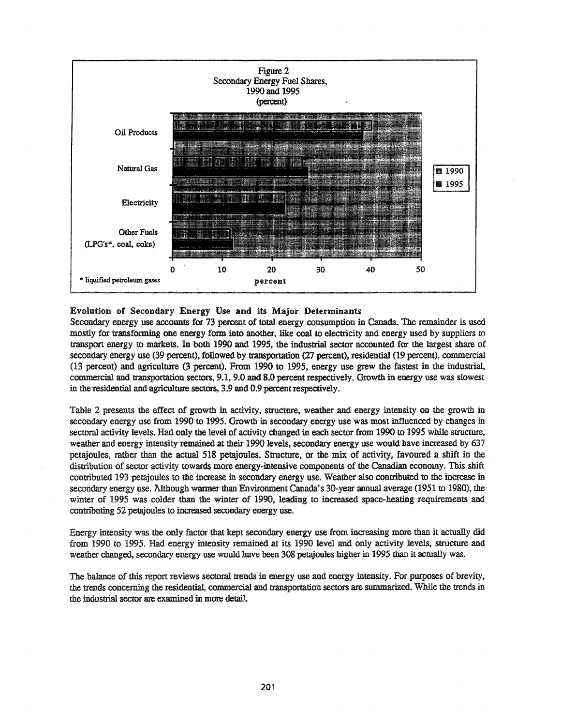

Evolution of Secondary Energy Use and its Major Determinants

Secondary energy use accounts for 73 percent of total energy consumption in Canada. The remainder is used mostly for transforming one energy form into another, like coal to electricity and energy used by suppliers to transport energy to markets. In both 1990 and 1995, the industrial sector accounted for the largest share of secondary energy use (39 percent), followed by transportation (27 percent), residential (19 percent), commercial (13 percent) and agriculture (3 percent). From 1990 to 1995, energy use grew the fastest in the industrial, commercial and transportation sectors, 9.1,9.0 and 8.0 percent respectively. Growth in energy use was slowest in the residential and agriculture sectors, 3.9 and 0.9 percent respectively.

Table 2 presents the effect of growth in activity, structure, weather and energy intensity on the growth in secondary energy use from 1990 to 1995. Growth in secondary energy use was most influenced by changes in sectoral activity levels. Had only the level of activity changed in each sector from 1990 to 1995 while structure, weather and energy intensity remained at their 1990 levels, secondary energy use would have increased by 637 petajoules, rather than the actual 518 petajoules. Structure, or the mix of activity, favoured a shift in the distribution of sector activity towards more energy-intensive components of the Canadian economy. This shift contributed 193 petajoules to the increase in secondary energy use. Weather also contributed to the increase in secondary energy use. Although warmer than Environment Canada's 30-year annual average (1951 to 1980), the winter of 1995 was colder than the winter of 1990, leading to increased space-heating requirements and contributing 52 petajoules to increased secondary energy use.

Energy intensity was the only factor that kept secondary energy use from increasing more than it actually did from 1990 to 1995. Had energy intensity remained at its 1990 level and only activity levels, structure and weather changed, secondary energy use would have been 308 petajoules higher in 1995 than it actually was.

The balance of this report reviews sectoral trends in energy use and energy intensity. For purposes of brevity, the trends concerning the residential, commercial and transportation sectors are summarized. While the trends in the industrial sector are examined in more detail.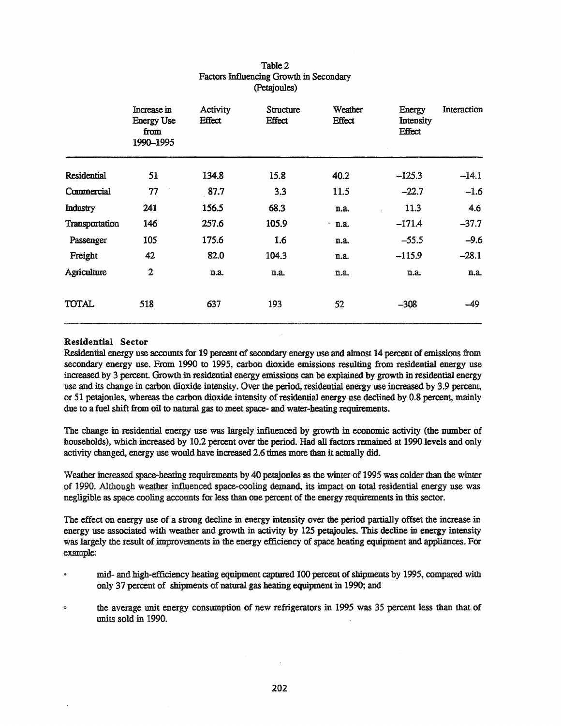|                | Increase in<br><b>Energy Use</b><br>from<br>1990-1995 | Activity<br>Effect | Structure<br>Effect | Weather<br>Effect | Energy<br>Intensity<br>Effect | Interaction |
|----------------|-------------------------------------------------------|--------------------|---------------------|-------------------|-------------------------------|-------------|
| Residential    | 51                                                    | 134.8              | 15.8                | 40.2              | $-125.3$                      | $-14.1$     |
| Commercial     | 77                                                    | 87.7               | 3.3                 | 11.5              | $-22.7$                       | $-1.6$      |
| Industry       | 241                                                   | 156.5              | 68.3                | n.a.              | 11.3                          | 4.6         |
| Transportation | 146                                                   | 257.6              | 105.9               | $-$ n.a.          | $-171.4$                      | $-37.7$     |
| Passenger      | 105                                                   | 175.6              | 1.6                 | n.a.              | $-55.5$                       | $-9.6$      |
| Freight        | 42                                                    | 82.0               | 104.3               | n.a.              | $-115.9$                      | $-28.1$     |
| Agriculture    | $\overline{2}$                                        | n.a.               | n.a.                | n.a.              | n.a.                          | n.a.        |
| TOTAL          | 518                                                   | 637                | 193                 | 52                | $-308$                        | $-49$       |

## Table 2 Factors Influencing Growth in Secondary (petajoules)

#### Residential Sector

Residential energy use accounts for 19 percent of secondary energy use and almost 14 percent of emissions from secondary energy use. From 1990 to 1995, carbon dioxide emissions resulting from residential energy use increased by 3 percent. Growth in residential energy emissions can be explained by growth in residential energy use and its change in carbon dioxide intensity. Over the period, residential energy use increased by 3.9 percent, or 51 petajoules, whereas the carbon dioxide intensity of residential energy use declined by 0.8 percent, mainly due to a fuel shift from oil to natural gas to meet space- and water-heating requirements.

The change in residential energy use was largely influenced by growth in economic activity (the number of households), which increased by 10.2 percent over the period. Had all factors remained at 1990 levels and only activity changed, energy use would have increased 2.6 times more than it actually did.

Weather increased space-heating requirements by 40 petajoules as the winter of 1995 was colder than the winter of 1990. Although weather influenced space-cooling demand, its impact on total residential energy nse was negligible as space cooling accounts for less than one percent of the energy requirements in this sector.

The effect on energy use of a strong decline in energy intensity over the period partially offset the increase in energy use associated with weather and growth in activity by 125 petajoules. This decline in energy intensity was largely the result of improvements in the energy efficiency of space heating equipment and appliances. For example:

- mid- and high-efficiency heating equipment captured 100 percent of shipments by 1995, compared with only 37 percent of shipments of natural gas heating equipment in 1990; and
- $\bullet$  the average unit energy consumption of new refrigerators in 1995 was 35 percent less than that of units sold in 1990.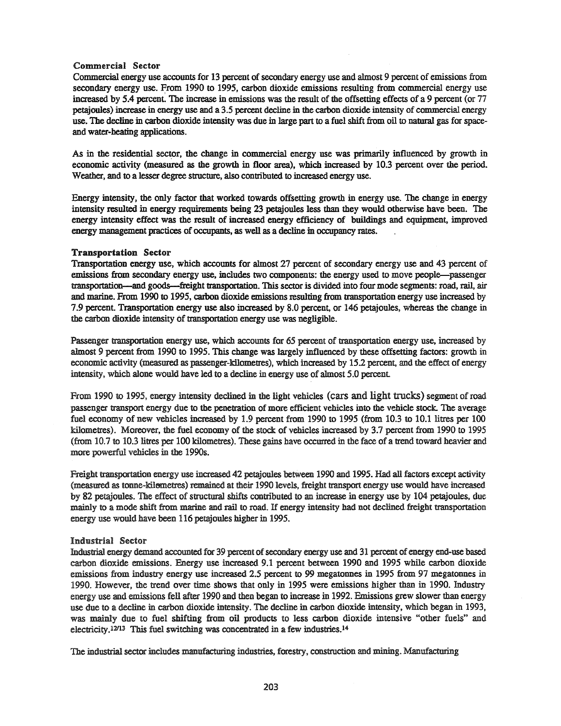#### Commercial Sector

Commercial energy use accounts for 13 percent of secondary energy use and almost 9 percent of emissions from secondary energy use. From 1990 to 1995, carbon dioxide emissions resulting from commercial energy use increased by 5.4 percent. The increase in emissions was the result of the offsetting effects of a 9 percent (or 77 petajoules) increase in energy use and a 3.5 percent decline in the carbon dioxide intensity of commercial energy use. The decline in carbon dioxide intensity was due in large part to a fuel shift from oil to natural gas for spaceand water-heating applications.

As in the residential sector, the change in commercial energy use was primarily influenced by growth in economic activity (measured as the growth in floor area), which increased by 10.3 percent over the period. Weather, and to a lesser degree structure, also contributed to increased energy use.

Energy intensity, the only factor that worked towards offsetting growth in energy use. The change in energy intensity resulted in energy requirements being 23 petajoules less than they would otherwise have been. The energy intensity effect was the result of increased energy efficiency of buildings and equipment, improved energy management practices of occupants, as well as a decline in occupancy rates.

#### Transportation Sector

Transportation energy use, which accounts for almost 27 percent of secondary energy use and 43 percent of emissions from secondary energy use, includes two components: the energy used to move people-passenger transportation-and goods-freight transportation. This sector is divided into four mode segments: road, rail, air and marine. From 1990 to 1995, carbon dioxide emissions resulting from transportation energy use increased by 7.9 percent. Transportation energy use also increased by 8.0 percent, or 146 petajoules, whereas the change in the carbon dioxide intensity of transportation energy use was negligible.

Passenger transportation energy use, which accounts for 65 percent of transportation energy use, increased by almost 9 percent from 1990 to 1995. This change was largely influenced by these offsetting factors: growth in economic activity (measured as passenger-kilometres), which increased by 15.2 percent, and the effect of energy intensity, which alone would have led to a decline in energy use of almost 5.0 percent

From 1990 to 1995, energy intensity declined in the light vehicles (cars and light trucks) segment ofroad passenger transport energy due to the penetration of more efficient vehicles into the vehicle stock. The average fuel economy of new vehicles increased by 1.9 percent from 1990 to 1995 (from 10.3 to 10.1 litres per 100 kilometres). Moreover, the fuel economy of the stock of vehicles increased by 3.7 percent from 1990 to 1995 (from 10.7 to lO.3litres per 100 kilometres). These gains have occurred in the face of a trend toward heavier and more powerful vehicles in the 199Os.

Freight transportation energy use increased 42 petajoules between 1990 and 1995. Had all factors except activity (measured as tonne-kilemetres) remained at their 1990 levels, freight transport energy use would have increased by 82 petajoules. The effect of structural shifts contributed to an increase in energy use by 104 petajoules, due mainly to a mode shift from marine and rail to road. If energy intensity had not declined freight transportation energy use would have been 116 petajoules higher in 1995.

#### Industrial Sedor

Industrial energy demand accounted for 39 percent of secondary energy use and 31 percent of energy end-use based carbon dioxide emissions. Energy use increased 9.1 percent between 1990 and 1995 while carbon dioxide emissions from industry energy use increased 2.5 percent to 99 megatonnes in 1995 from 97 megatonnes in 1990. However, the trend over time shows that only in 1995 were emissions higher than in 1990. Industry energy use and emissions fell after 1990 and then began to increase in 1992. Emissions grew slower than energy use due to a decline in carbon dioxide intensity. The decline in carbon dioxide intensity, which began in 1993, was mainly due to fuel shifting from oil products to less carbon dioxide intensive "other fuels" and electricity.<sup>12/13</sup> This fuel switching was concentrated in a few industries.<sup>14</sup>

The industrial sector includes manufacturing industries, forestry, construction and mining. Manufacturing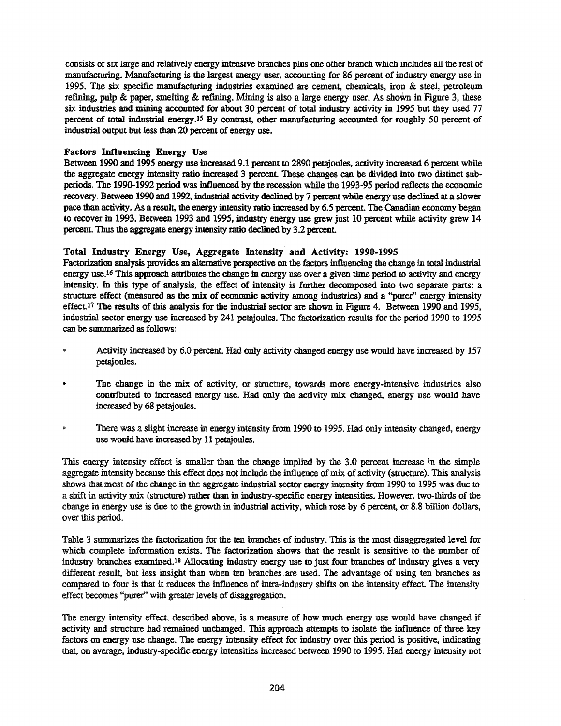consists of six large and relatively energy intensive branches plus one other branch which includes all the rest of manufacturing. Manufacturing is the largest energy user, accounting for 86 percent of industry energy use in 1995. The six specific manufacturing industries examined are cement, chemicals, iron & steel, petroleum refining, pulp & paper, smelting  $\&$  refining. Mining is also a large energy user. As shown in Figure 3, these six industries and mining accounted for about 30 percent of total industry activity in 1995 but they used 77 percent of total industrial energy.IS By contrast, other manufacturing accounted for roughly 50 percent of industrial output but less than 20 percent of energy use.

## Factors Influencing Energy Use

Between 1990 and 1995 energy use increased 9.1 percent to 2890 petaioules, activity increased 6 percent while the aggregate energy intensity ratio increased 3 percent. These changes can be divided into two distinct subperiods. The 1990-1992 period was influenced by the recession while the 1993-95 period reflects the economic recovery. Between 1990 and 1992, industrial activity declined by 7 percent while energy use declined at a slower pace than activity. As a result, the energy intensity ratio increased by 6.5 percent. The Canadian economy began to recover in 1993. Between 1993 and 1995, industry energy use grew just 10 percent while activity grew 14 percent. Thus the aggregate energy intensity ratio declined by 3.2 percent.

## Total Industry Energy Use, Aggregate Intensity and Activity: 1990·1995

Factorization analysis provides an alternative perspective on the factors influencing the change in total industrial energy use.16 This approach attributes the change in energy use over a given time period to activity and energy intensity. In this type of analysis, the effect of intensity is further decomposed into two separate parts: a structure effect (measured as the mix of economic activity among industries) and a "purer" energy intensity effect.17 The results of this analysis for the industrial sector are shown in Figure 4. Between 1990 and 1995, industrial sector energy use increased by 241 petajoules. The factorization results for the period 1990 to 1995 can be summarized as follows:

- .. Activity increased by 6.0 percent. Had only activity changed energy use would have increased by 157 petajoules.
- The change in the mix of activity, or structure, towards more energy-intensive industries also  $\bullet$ contributed to increased energy use. Had only the activity mix changed, energy use would have increased by 68 petajoules.
- There was a slight increase in energy intensity from 1990 to 1995. Had only intensity changed, energy  $\bullet$ use would have increased by 11 petajoules.

This energy intensity effect is smaller than the change implied by the 3.0 percent increase in the simple aggregate intensity because this effect does not include the influence of mix of activity (structure). This analysis shows that most of the change in the aggregate industrial sector energy intensity from 1990 to 1995 was due to a shift in activity mix (structure) rather than in industry-specific energy intensities. However, two-thirds of the change in energy use is due to the growth in industrial activity, which rose by 6 percent, or 8.8 billion dollars, over this period.

Table 3 summarizes the factorization for the ten branches of industry. This is the most disaggregated level for which complete information exists. The factorization shows that the result is sensitive to the number of industry branches examined.18 Allocating industry energy use to just four branches of industry gives a very different result, but less insight than when ten branches are used. The advantage of using ten branches as compared to fom is that it reduces the influence of intra-industry shifts on the intensity effect. The intensity effect becomes ''purer'' with greater levels of disaggregation.

The energy intensity effect, described above, is a measure of how much energy use would have changed if activity and structure had remained unchanged. This approach attempts to isolate the influence of three key factors on energy use change. The energy intensity effect for industry over this period is positive, indicating that, on average, industry-specific energy intensities increased between 1990 to 1995. Had energy intensity not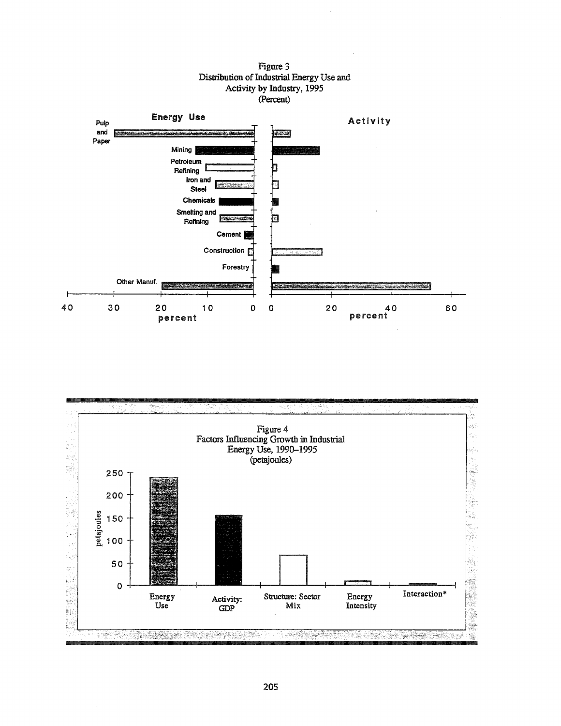



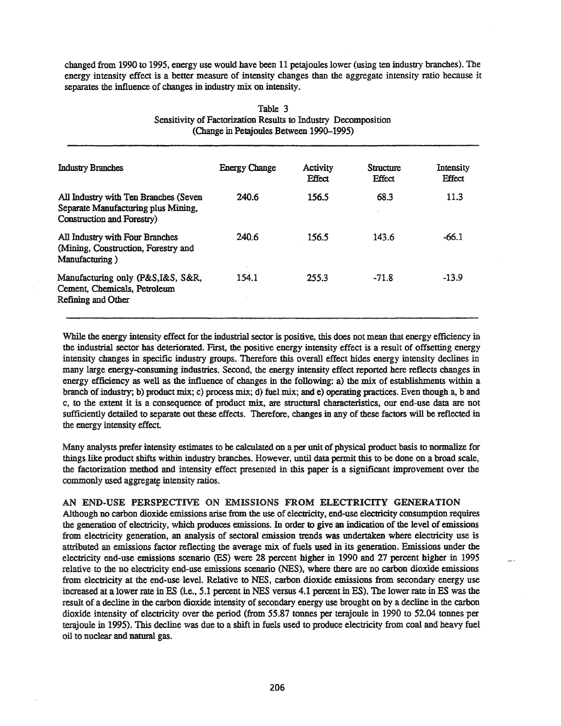changed from 1990 to 1995, energy use would have been 11 petajoules lower (using ten industry branches). The energy intensity effect is a better measure of intensity changes than the aggregate intensity ratio because it separates the influence of changes in industry mix on intensity.

| Industry Branches                                                                                          | <b>Energy Change</b> | Activity<br><b>Effect</b> | Structure<br><b>Effect</b> | Intensity<br><b>Effect</b> |
|------------------------------------------------------------------------------------------------------------|----------------------|---------------------------|----------------------------|----------------------------|
| All Industry with Ten Branches (Seven<br>Separate Manufacturing plus Mining,<br>Construction and Forestry) | 240.6                | 156.5                     | 68.3                       | 11.3                       |
| All Industry with Four Branches<br>(Mining, Construction, Forestry and<br>Manufacturing)                   | 240.6                | 156.5                     | 143.6                      | $-66.1$                    |
| Manufacturing only (P&S, I&S, S&R,<br>Cement, Chemicals, Petroleum<br>Refining and Other                   | 154.1                | 255.3                     | $-71.8$                    | $-13.9$                    |

#### Table 3 Sensitivity of Factorization Results to Industry Decomposition (Change in Petajouies Between 1990-1995)

While the energy intensity effect for the industrial sector is positive, this does not mean that energy efficiency in the industrial sector has deteriorated. Fust, the positive energy intensity effect is a result of offsetting energy intensity changes in specific industry groups. Therefore this overall effect hides energy intensity declines in many large energy-consuming industries. Second, the energy intensity effect reported here reflects changes in energy efficiency as well as the influence of changes in the following: a) the mix of establishments within a branch of industry; b) product mix; c) process mix; d) fuel mix; and e) operating practices. Even though a, b and c, to the extent it is a consequence of product mix, are structural characteristics, our end-use data are not sufficiently detailed to separate out these effects. Therefore, changes in any of these factors will be reflected in the energy intensity effect

Many analysts prefer intensity estimates to be calculated on a per unit of physical product basis to normalize for things like product shifts within industry branches. However, until data permit this to be done on a broad scale, the factorization method and intensity effect presented in this paper is a significant improvement over the commonly used aggregate intensity ratios.

## AN END-USE PERSPECTIVE ON EMISSIONS FROM ELECTRICITY GENERATION

Although no carbon dioxide emissions arise from the use of electricity, end-use electricity consumption requires the generation of electricity, which produces emissions. In order to give an indication of the level of emissions from electricity generation, an analysis of sectoral emission trends was undertaken where electricity use is attributed an emissions factor reflecting the average mix of fuels used in its generation. Emissions under the electricity end-use emissions scenario (ES) were 28 percent higher in 1990 and 27 percent higher in 1995 relative to the no electricity end-use emissions scenario (NBS), where there are no carbon dioxide emissions from electricity at the end-use level. Relative to NBS, carbon dioxide emissions from secondary energy use increased at a lower rate in ES (i.e., 5.1 percent in NES versus 4.1 percent in ES). The lower rate in ES was the result of a decline in the carbon dioxide intensity of secondary energy use brought on by a decline in the carbon dioxide intensity of electricity over the period (from 55.87 toones per terajoule in 1990 to 52.04 toones per terajoule in 1995). This decline was due to a shift in fuels used to produce electricity from coal and heavy fuel oil to nuclear and natural gas.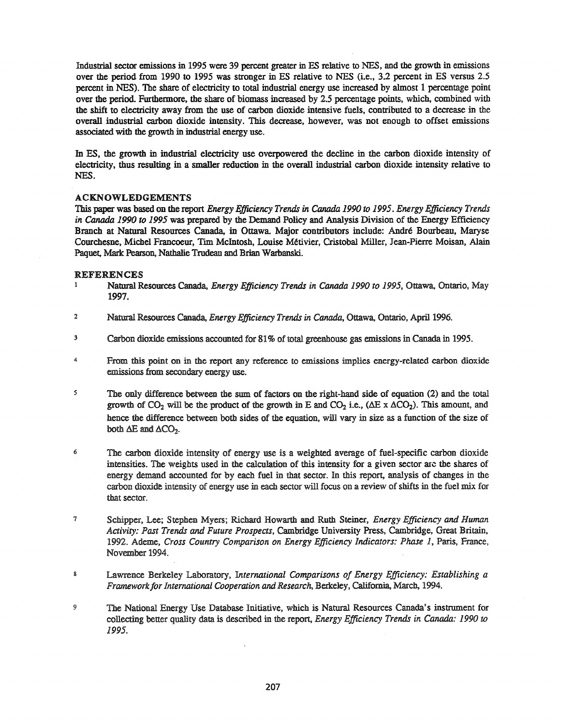Industrial sector emissions in 1995 were 39 percent greater in ES relative to NES, and the growth in emissions over the period from 1990 to 1995 was stronger in ES relative to NES (i.e., 3.2 percent in ES versus 2.5 percent in NBS). The share of electricity to total industrial energy use increased by almost 1 percentage point over the period. Furthermore, the share of biomass increased by 2.5 percentage points, which, combined with the shift to electricity away from the use of carbon dioxide intensive fuels, contributed to a decrease in the overall industrial carbon dioxide intensity. This decrease, however, was not enough to offset emissions associated with the growth in industrial energy use.

In ES, the growth in industrial electricity use overpowered the decline in the carbon dioxide intensity of electricity, thus resulting in a smaller reduction in the overall industrial carbon dioxide intensity relative to NES.

## ACKNOWLEDGEMENTS

This paper was based on the report *Energy Efficiency Trends* in *Canada 1990 to* 1995. *Energy Efficiency Trends in Canada 1990 to* 1995 was prepared by the Demand Policy and Analysis Division of the Energy Efficiency Branch at Natural Resources Canada, in Ottawa Major contributors include: Andre Bourbeau, Maryse Courchesne, Michel Francoeur, TIm McIntosh, Louise Metivier, Cristobal Miller, Jean-Pierre Moisan, Alain Paquet, Mark Pearson, Nathalie Trudeau and Brian Warbanski.

# REFERENCES

- <sup>1</sup> Natural Resources Canada, *Energy Efficiency Trends in Canada 1990 to* 1995, Ottawa, Ontario, May 1997.
- <sup>2</sup> Natural Resources Canada, *Energy Efficiency Trends* in *Canada,* Ottawa, Ontario, April 1996.
- <sup>3</sup> Carbon dioxide emissions accounted for 81% of total greenhouse gas emissions in Canada in 1995.
- <sup>4</sup> From this point on in the report any reference to emissions implies energy-related carbon dioxide emissions from secondary energy use.
- 5 The only difference between the sum of factors on the right-hand side of equation (2) and the total growth of CO<sub>2</sub> will be the product of the growth in E and CO<sub>2</sub> i.e., ( $\Delta E \times \Delta CO_2$ ). This amount, and hence the difference between both sides of the equation, will vary in size as a function of the size of both  $\Delta E$  and  $\Delta CO_2$ .
- <sup>6</sup> The carbon dioxide intensity of energy use is a weighted average of fuel-specific carbon dioxide intensities. The weights used in the calculation of this intensity for a given sector are the shares of energy demand accounted for by each fuel in that sector. In this report, analysis of changes in the carbon dioxide intensity of energy use in each sector will focus on a review of shifts in the fuel mix for that sector.
- <sup>7</sup> Schipper, Lee; Stephen Myers; Richard Howarth and Ruth Steiner, *Energy Efficiency* and *Human Activity: Past Trends and Future Prospects,* Cambridge University Press, Cambridge, Great Britain, 1992. Ademe, *Cross Country Comparison on Energy Efficiency Indicators: Phase* 1, Paris, France, November 1994.
- <sup>8</sup> Lawrence Berkeley Laboratory, *International Comparisons of Energy Efficiency: Establishing a Frameworkfor International Cooperation* and*Research,* Berkeley, California, March, 1994.
- <sup>9</sup> The National Energy Use Database Initiative, which is Natural Resources Canada's instrument for collecting better quality data is described in the report, *Energy Efficiency Trends in Canada: 1990 to* 1995.